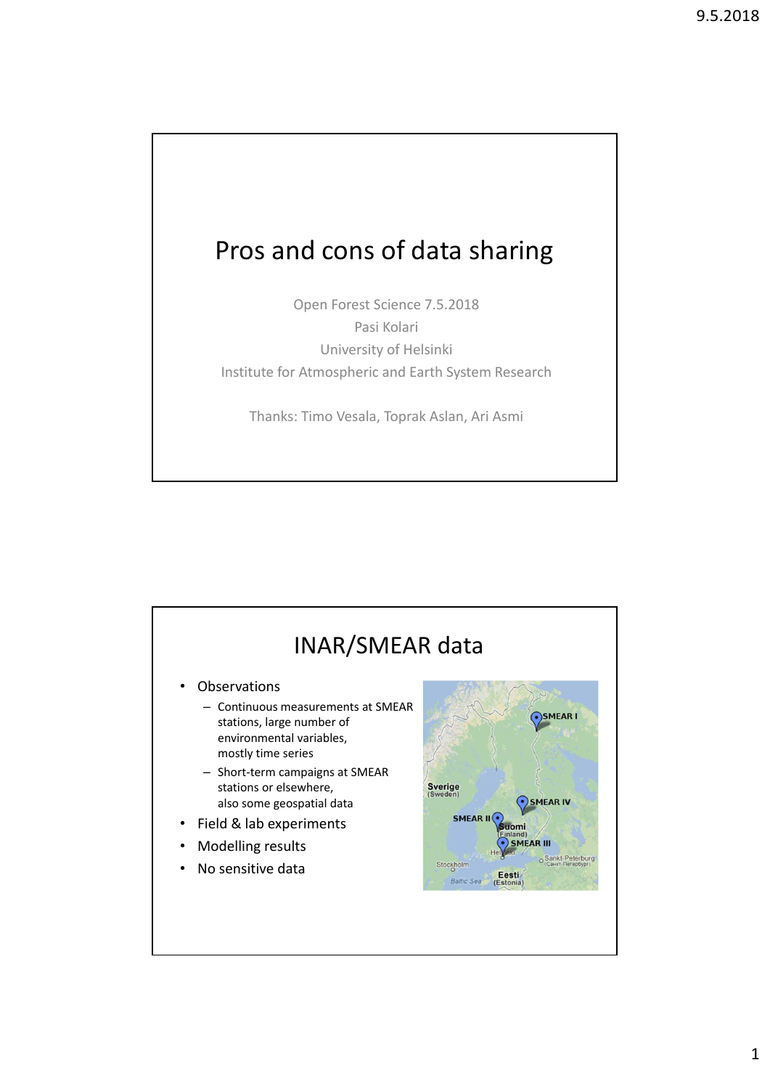## Pros and cons of data sharing

Open Forest Science 7.5.2018 Pasi Kolari University of Helsinki Institute for Atmospheric and Earth System Research

Thanks: Timo Vesala, Toprak Aslan, Ari Asmi

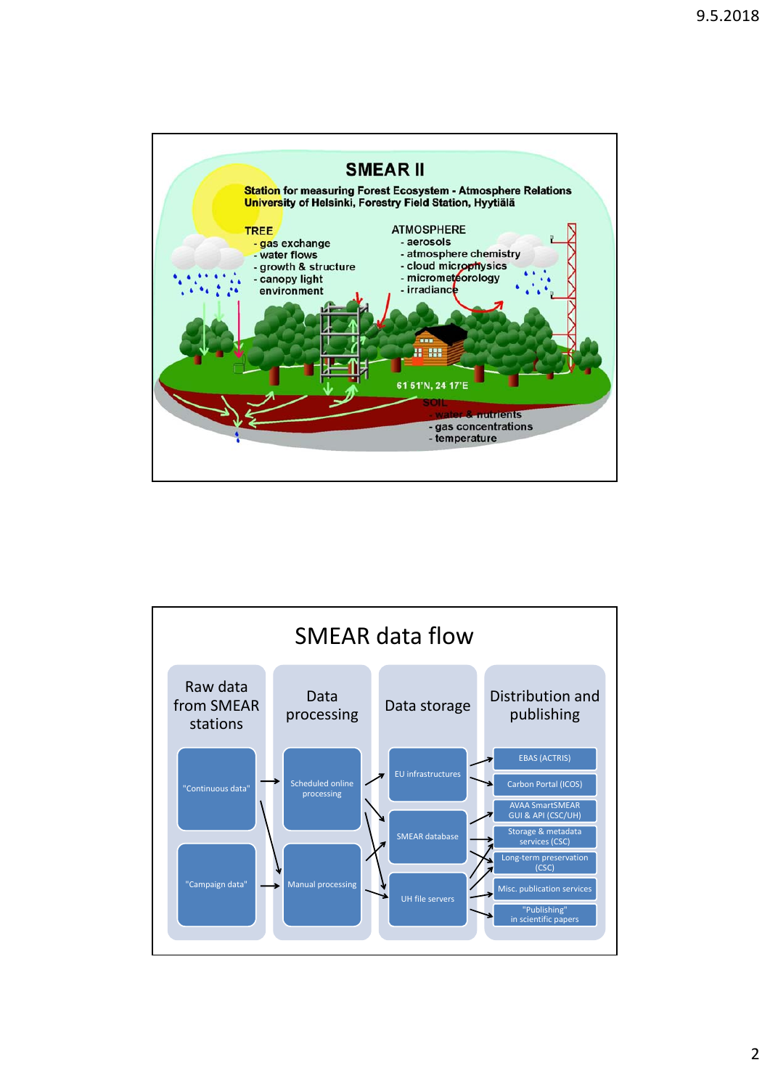

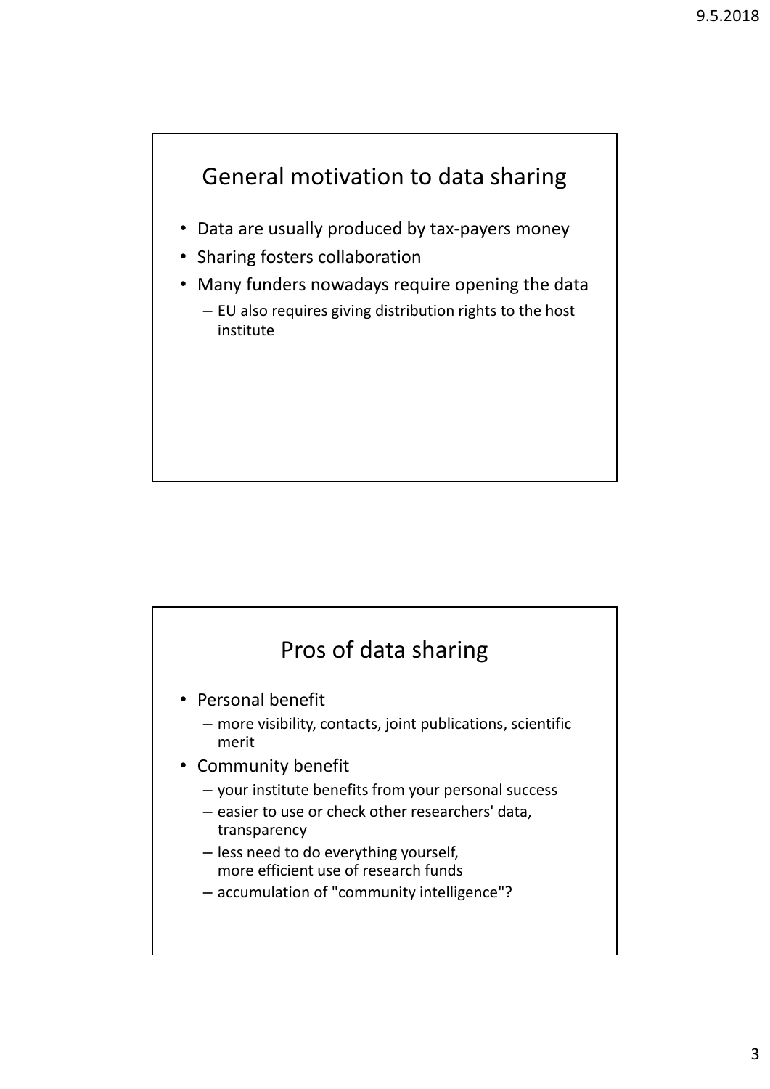## General motivation to data sharing

- Data are usually produced by tax-payers money
- Sharing fosters collaboration
- Many funders nowadays require opening the data
	- EU also requires giving distribution rights to the host institute

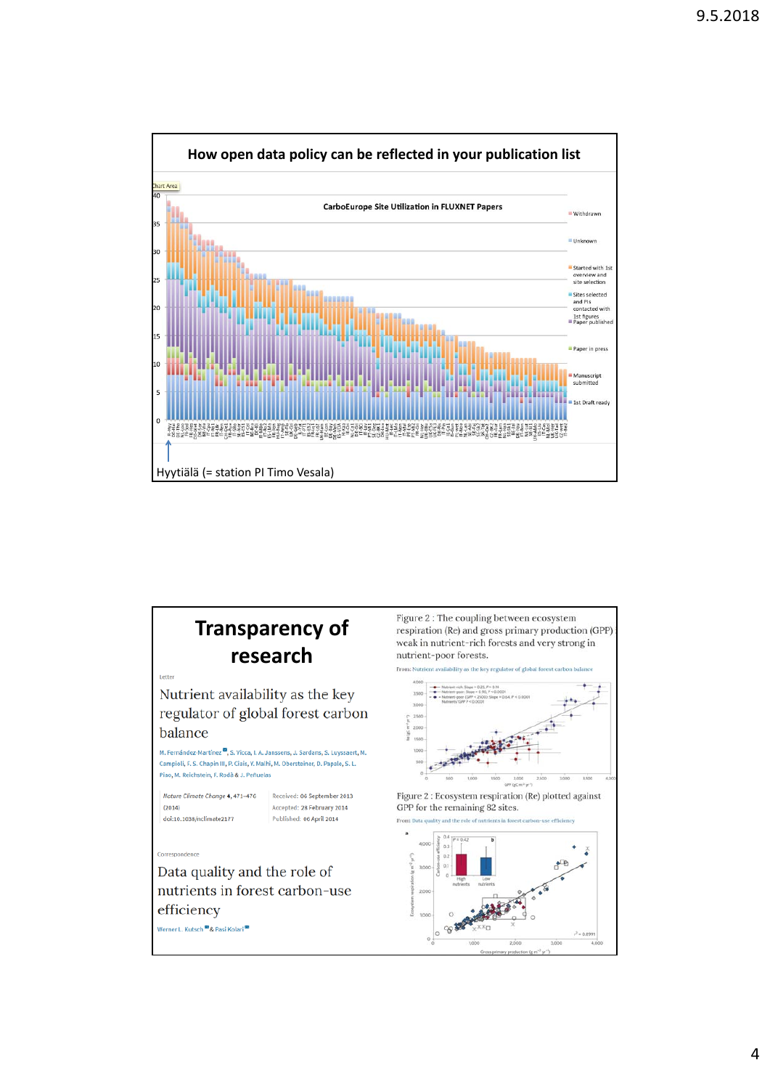

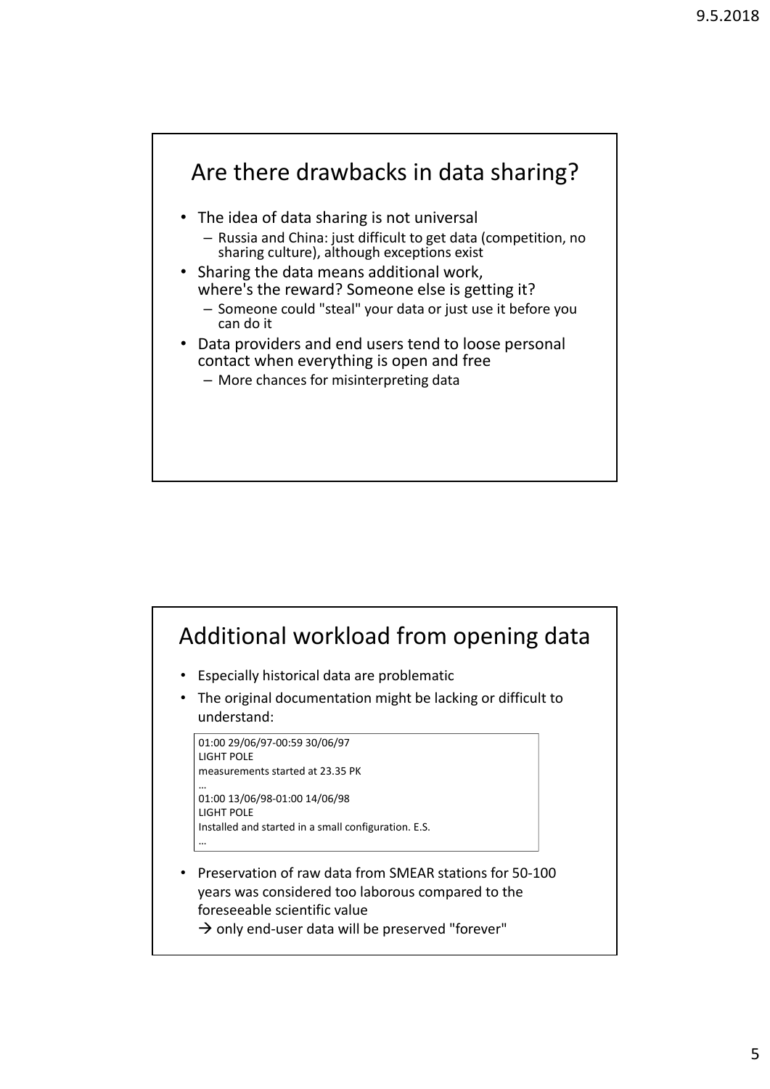

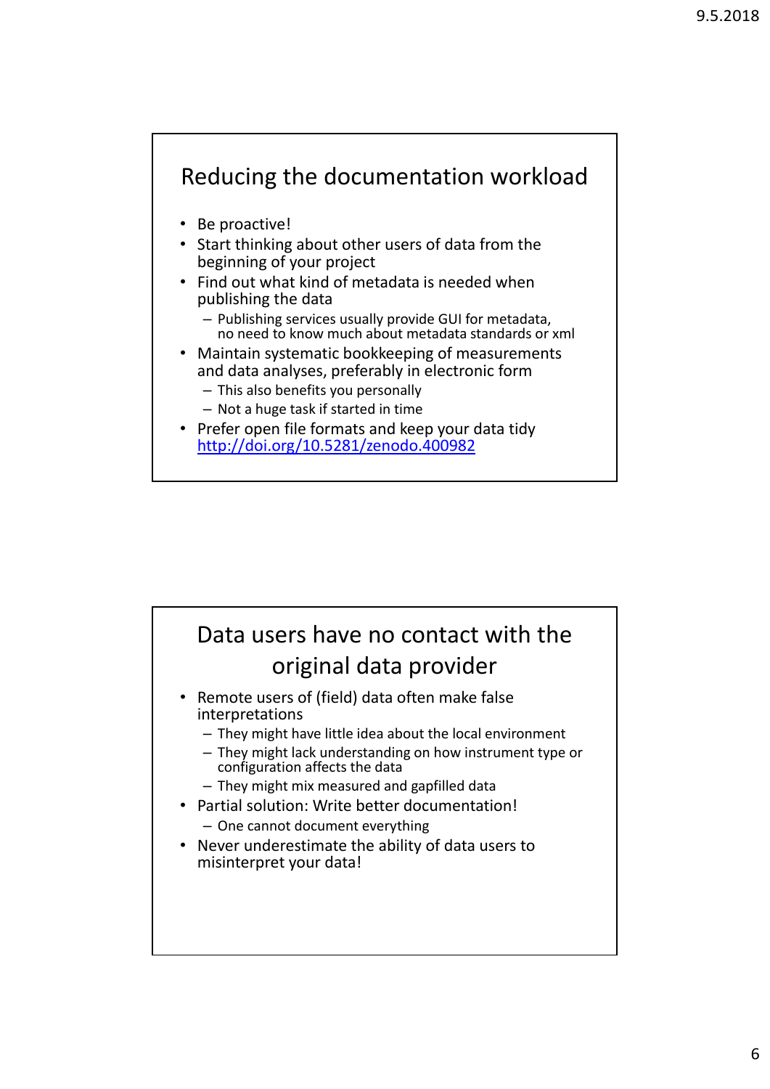

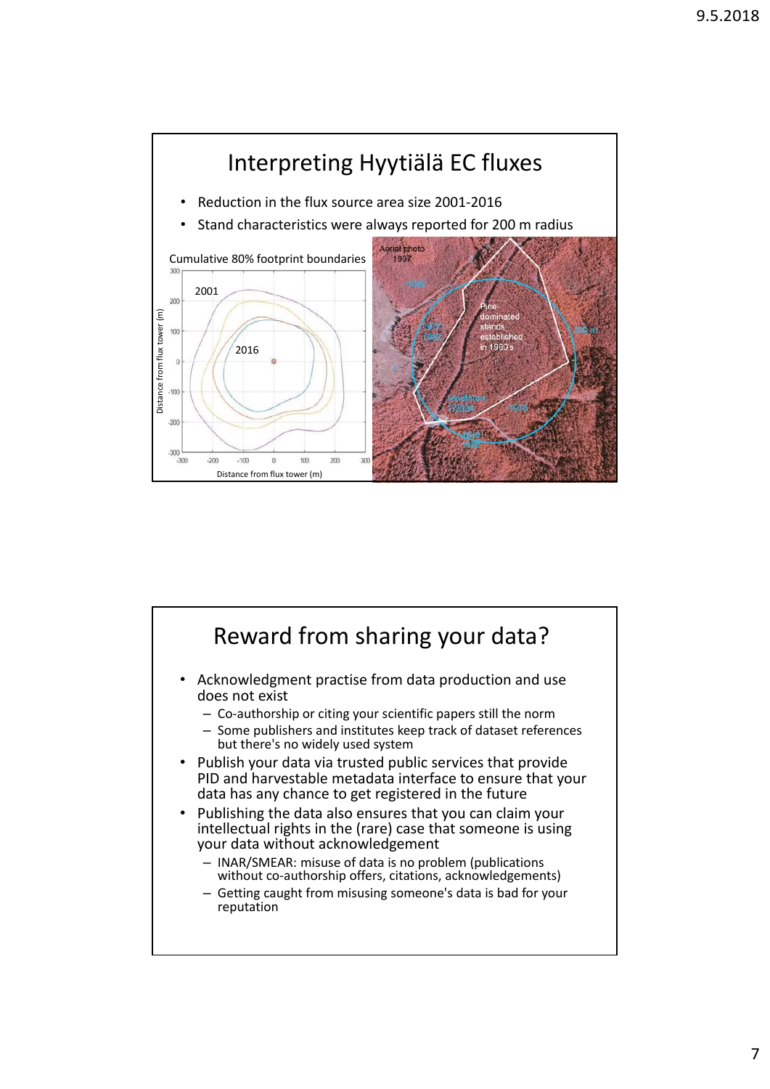